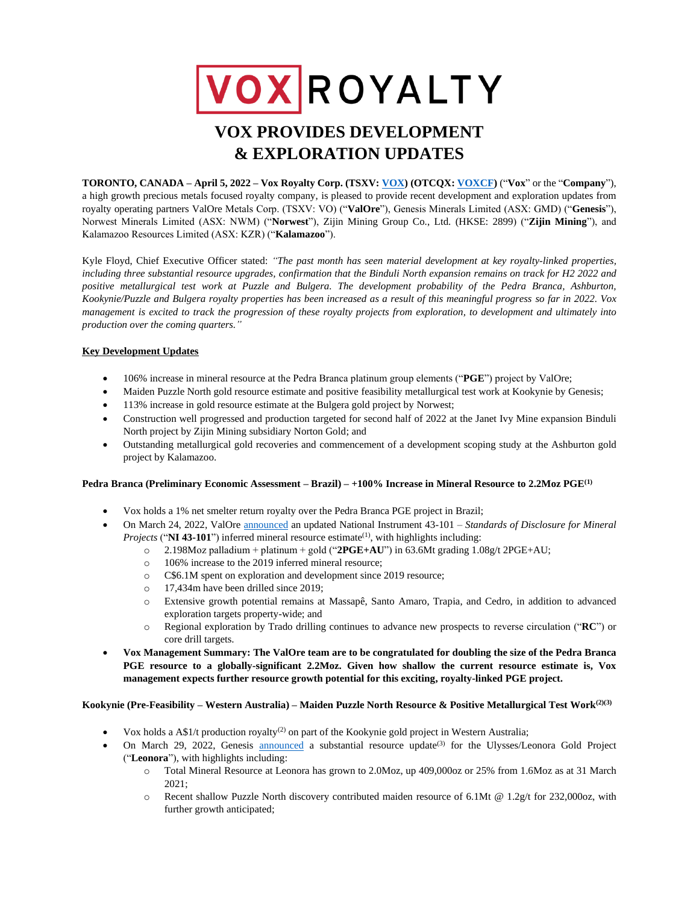# VOXROYALTY

# **VOX PROVIDES DEVELOPMENT & EXPLORATION UPDATES**

**TORONTO, CANADA – April 5, 2022 – Vox Royalty Corp. (TSXV[: VOX\)](https://money.tmx.com/en/quote/VOX) (OTCQX: [VOXC](https://money.tmx.com/en/quote/VOX)F)** ("**Vox**" or the "**Company**"), a high growth precious metals focused royalty company, is pleased to provide recent development and exploration updates from royalty operating partners ValOre Metals Corp. (TSXV: VO) ("**ValOre**"), Genesis Minerals Limited (ASX: GMD) ("**Genesis**"), Norwest Minerals Limited (ASX: NWM) ("**Norwest**"), Zijin Mining Group Co., Ltd. (HKSE: 2899) ("**Zijin Mining**"), and Kalamazoo Resources Limited (ASX: KZR) ("**Kalamazoo**").

Kyle Floyd, Chief Executive Officer stated: *"The past month has seen material development at key royalty-linked properties, including three substantial resource upgrades, confirmation that the Binduli North expansion remains on track for H2 2022 and positive metallurgical test work at Puzzle and Bulgera. The development probability of the Pedra Branca, Ashburton, Kookynie/Puzzle and Bulgera royalty properties has been increased as a result of this meaningful progress so far in 2022. Vox management is excited to track the progression of these royalty projects from exploration, to development and ultimately into production over the coming quarters."*

# **Key Development Updates**

- 106% increase in mineral resource at the Pedra Branca platinum group elements ("**PGE**") project by ValOre;
- Maiden Puzzle North gold resource estimate and positive feasibility metallurgical test work at Kookynie by Genesis;
- 113% increase in gold resource estimate at the Bulgera gold project by Norwest;
- Construction well progressed and production targeted for second half of 2022 at the Janet Ivy Mine expansion Binduli North project by Zijin Mining subsidiary Norton Gold; and
- Outstanding metallurgical gold recoveries and commencement of a development scoping study at the Ashburton gold project by Kalamazoo.

## **Pedra Branca (Preliminary Economic Assessment – Brazil) – +100% Increase in Mineral Resource to 2.2Moz PGE(1)**

- Vox holds a 1% net smelter return royalty over the Pedra Branca PGE project in Brazil;
- On March 24, 2022, ValOre [announced](https://www.juniorminingnetwork.com/junior-miner-news/press-releases/544-tsx-venture/vo/118154-valore-expands-pedra-branca-inferred-mineral-resource-by-106-to-2-2-million-ounces-at-1-08-g-t-2pge-au.html?idU=1) an updated National Instrument 43-101 *Standards of Disclosure for Mineral Projects* (" $NI$  43-101") inferred mineral resource estimate<sup>(1)</sup>, with highlights including:
	- $\degree$  2.198Moz palladium + platinum + gold ("2PGE+AU") in 63.6Mt grading 1.08g/t 2PGE+AU;
	- o 106% increase to the 2019 inferred mineral resource;
	- o C\$6.1M spent on exploration and development since 2019 resource;
	- o 17,434m have been drilled since 2019;
	- o Extensive growth potential remains at Massapê, Santo Amaro, Trapia, and Cedro, in addition to advanced exploration targets property-wide; and
	- o Regional exploration by Trado drilling continues to advance new prospects to reverse circulation ("**RC**") or core drill targets.
- **Vox Management Summary: The ValOre team are to be congratulated for doubling the size of the Pedra Branca PGE resource to a globally-significant 2.2Moz. Given how shallow the current resource estimate is, Vox management expects further resource growth potential for this exciting, royalty-linked PGE project.**

# **Kookynie (Pre-Feasibility – Western Australia) – Maiden Puzzle North Resource & Positive Metallurgical Test Work(2)(3)**

- Vox holds a  $A$1/t$  production royalty<sup>(2)</sup> on part of the Kookynie gold project in Western Australia;
	- On March 29, 2022, Genesis [announced](https://genesisminerals.com.au/downloads/announcements/gmd2022032901.pdf) a substantial resource update<sup>(3)</sup> for the Ulysses/Leonora Gold Project ("**Leonora**"), with highlights including:
		- o Total Mineral Resource at Leonora has grown to 2.0Moz, up 409,000oz or 25% from 1.6Moz as at 31 March  $2021$
		- o Recent shallow Puzzle North discovery contributed maiden resource of 6.1Mt @ 1.2g/t for 232,000oz, with further growth anticipated;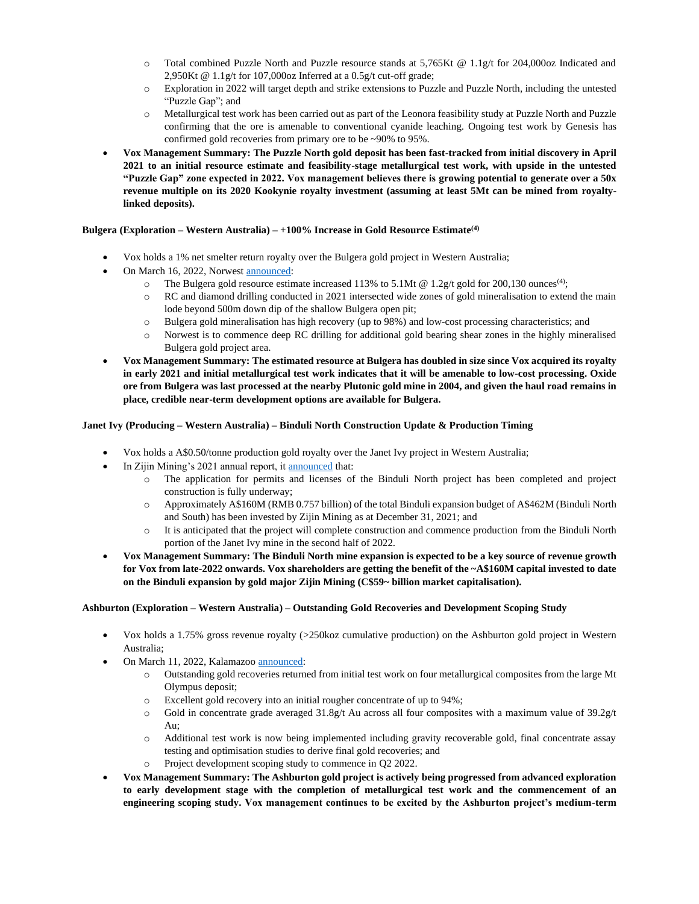- o Total combined Puzzle North and Puzzle resource stands at 5,765Kt @ 1.1g/t for 204,000oz Indicated and 2,950Kt @ 1.1g/t for 107,000oz Inferred at a 0.5g/t cut-off grade;
- o Exploration in 2022 will target depth and strike extensions to Puzzle and Puzzle North, including the untested "Puzzle Gap"; and
- o Metallurgical test work has been carried out as part of the Leonora feasibility study at Puzzle North and Puzzle confirming that the ore is amenable to conventional cyanide leaching. Ongoing test work by Genesis has confirmed gold recoveries from primary ore to be ~90% to 95%.
- **Vox Management Summary: The Puzzle North gold deposit has been fast-tracked from initial discovery in April 2021 to an initial resource estimate and feasibility-stage metallurgical test work, with upside in the untested "Puzzle Gap" zone expected in 2022. Vox management believes there is growing potential to generate over a 50x revenue multiple on its 2020 Kookynie royalty investment (assuming at least 5Mt can be mined from royaltylinked deposits).**

# **Bulgera (Exploration – Western Australia) – +100% Increase in Gold Resource Estimate(4)**

- Vox holds a 1% net smelter return royalty over the Bulgera gold project in Western Australia;
- On March 16, 2022, Norwest **announced**:
	- $\circ$  The Bulgera gold resource estimate increased 113% to 5.1Mt @ 1.2g/t gold for 200,130 ounces<sup>(4)</sup>;
	- o RC and diamond drilling conducted in 2021 intersected wide zones of gold mineralisation to extend the main lode beyond 500m down dip of the shallow Bulgera open pit;
	- o Bulgera gold mineralisation has high recovery (up to 98%) and low-cost processing characteristics; and
	- o Norwest is to commence deep RC drilling for additional gold bearing shear zones in the highly mineralised Bulgera gold project area.
- **Vox Management Summary: The estimated resource at Bulgera has doubled in size since Vox acquired its royalty in early 2021 and initial metallurgical test work indicates that it will be amenable to low-cost processing. Oxide ore from Bulgera was last processed at the nearby Plutonic gold mine in 2004, and given the haul road remains in place, credible near-term development options are available for Bulgera.**

# **Janet Ivy (Producing – Western Australia) – Binduli North Construction Update & Production Timing**

- Vox holds a A\$0.50/tonne production gold royalty over the Janet Ivy project in Western Australia;
- In Zijin Mining's 2021 annual report, i[t announced](https://www.zijinmining.com/upload/pdfjs/web/viewer.html?file=/upload/file/2022/03/20/318b27eb73094342b4fe7089de1356d6.pdf) that:
	- o The application for permits and licenses of the Binduli North project has been completed and project construction is fully underway;
	- o Approximately A\$160M (RMB 0.757 billion) of the total Binduli expansion budget of A\$462M (Binduli North and South) has been invested by Zijin Mining as at December 31, 2021; and
	- o It is anticipated that the project will complete construction and commence production from the Binduli North portion of the Janet Ivy mine in the second half of 2022.
- **Vox Management Summary: The Binduli North mine expansion is expected to be a key source of revenue growth for Vox from late-2022 onwards. Vox shareholders are getting the benefit of the ~A\$160M capital invested to date on the Binduli expansion by gold major Zijin Mining (C\$59~ billion market capitalisation).**

## **Ashburton (Exploration – Western Australia) – Outstanding Gold Recoveries and Development Scoping Study**

- Vox holds a 1.75% gross revenue royalty (>250koz cumulative production) on the Ashburton gold project in Western Australia;
- On March 11, 2022, Kalamazoo [announced:](https://app.sharelinktechnologies.com/announcement/asx/0ea53c5b896a1503d5b1ffa5bceade24)
	- o Outstanding gold recoveries returned from initial test work on four metallurgical composites from the large Mt Olympus deposit;
	- o Excellent gold recovery into an initial rougher concentrate of up to 94%;
	- $\circ$  Gold in concentrate grade averaged 31.8g/t Au across all four composites with a maximum value of 39.2g/t  $Anr$
	- o Additional test work is now being implemented including gravity recoverable gold, final concentrate assay testing and optimisation studies to derive final gold recoveries; and
	- o Project development scoping study to commence in Q2 2022.
- **Vox Management Summary: The Ashburton gold project is actively being progressed from advanced exploration to early development stage with the completion of metallurgical test work and the commencement of an engineering scoping study. Vox management continues to be excited by the Ashburton project's medium-term**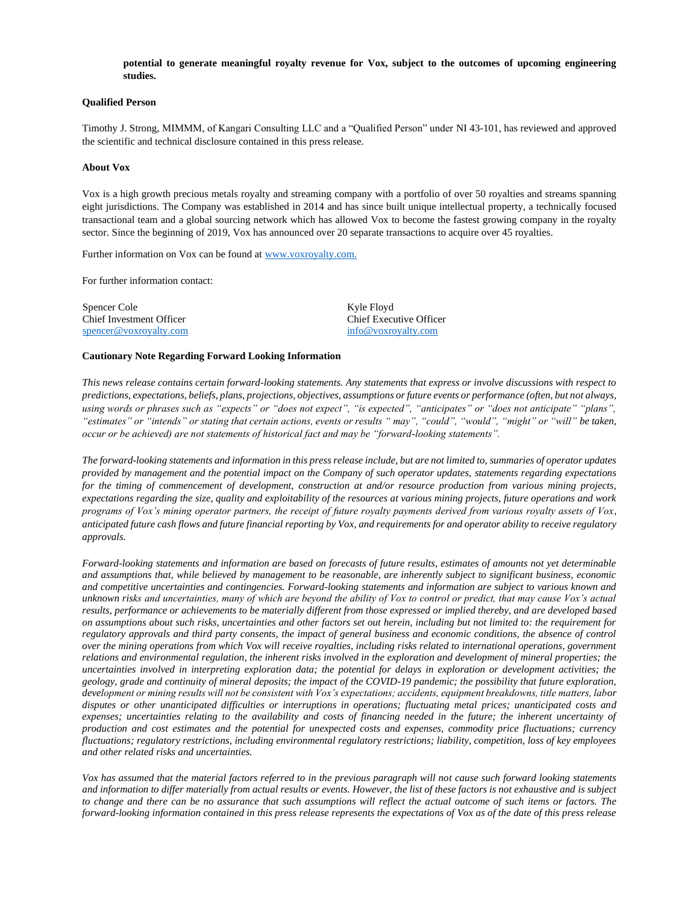#### **potential to generate meaningful royalty revenue for Vox, subject to the outcomes of upcoming engineering studies.**

#### **Qualified Person**

Timothy J. Strong, MIMMM, of Kangari Consulting LLC and a "Qualified Person" under NI 43-101, has reviewed and approved the scientific and technical disclosure contained in this press release.

#### **About Vox**

Vox is a high growth precious metals royalty and streaming company with a portfolio of over 50 royalties and streams spanning eight jurisdictions. The Company was established in 2014 and has since built unique intellectual property, a technically focused transactional team and a global sourcing network which has allowed Vox to become the fastest growing company in the royalty sector. Since the beginning of 2019, Vox has announced over 20 separate transactions to acquire over 45 royalties.

Further information on Vox can be found at [www.voxroyalty.com.](http://www.voxroyalty.com/) 

For further information contact:

Spencer Cole Kyle Floyd Chief Investment Officer Chief Executive Officer [spencer@voxroyalty.com](mailto:spencer@voxroyalty.com) [info@voxroyalty.com](mailto:info@voxroyalty.com)

#### **Cautionary Note Regarding Forward Looking Information**

*This news release contains certain forward-looking statements. Any statements that express or involve discussions with respect to predictions, expectations, beliefs, plans, projections, objectives, assumptions or future events or performance (often, but not always, using words or phrases such as "expects" or "does not expect", "is expected", "anticipates" or "does not anticipate" "plans", "estimates" or "intends" or stating that certain actions, events or results " may", "could", "would", "might" or "will" be taken, occur or be achieved) are not statements of historical fact and may be "forward-looking statements".* 

*The forward-looking statements and information in this press release include, but are not limited to, summaries of operator updates provided by management and the potential impact on the Company of such operator updates, statements regarding expectations for the timing of commencement of development, construction at and/or resource production from various mining projects, expectations regarding the size, quality and exploitability of the resources at various mining projects, future operations and work programs of Vox's mining operator partners, the receipt of future royalty payments derived from various royalty assets of Vox, anticipated future cash flows and future financial reporting by Vox, and requirements for and operator ability to receive regulatory approvals.* 

*Forward-looking statements and information are based on forecasts of future results, estimates of amounts not yet determinable and assumptions that, while believed by management to be reasonable, are inherently subject to significant business, economic and competitive uncertainties and contingencies. Forward-looking statements and information are subject to various known and unknown risks and uncertainties, many of which are beyond the ability of Vox to control or predict, that may cause Vox's actual results, performance or achievements to be materially different from those expressed or implied thereby, and are developed based on assumptions about such risks, uncertainties and other factors set out herein, including but not limited to: the requirement for regulatory approvals and third party consents, the impact of general business and economic conditions, the absence of control over the mining operations from which Vox will receive royalties, including risks related to international operations, government relations and environmental regulation, the inherent risks involved in the exploration and development of mineral properties; the uncertainties involved in interpreting exploration data; the potential for delays in exploration or development activities; the geology, grade and continuity of mineral deposits; the impact of the COVID-19 pandemic; the possibility that future exploration, development or mining results will not be consistent with Vox's expectations; accidents, equipment breakdowns, title matters, labor disputes or other unanticipated difficulties or interruptions in operations; fluctuating metal prices; unanticipated costs and expenses; uncertainties relating to the availability and costs of financing needed in the future; the inherent uncertainty of production and cost estimates and the potential for unexpected costs and expenses, commodity price fluctuations; currency fluctuations; regulatory restrictions, including environmental regulatory restrictions; liability, competition, loss of key employees and other related risks and uncertainties.* 

*Vox has assumed that the material factors referred to in the previous paragraph will not cause such forward looking statements and information to differ materially from actual results or events. However, the list of these factors is not exhaustive and is subject to change and there can be no assurance that such assumptions will reflect the actual outcome of such items or factors. The forward-looking information contained in this press release represents the expectations of Vox as of the date of this press release*